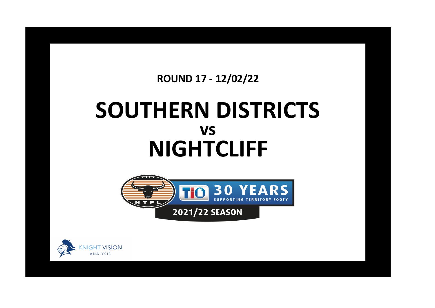## **ROUND 17 - 12/02/22**

## **SOUTHERN DISTRICTS NIGHTCLIFF vs**



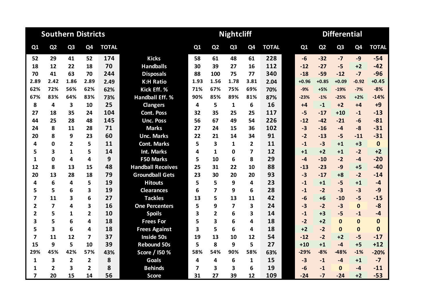|                         |                         | <b>Southern Districts</b> |                |              |                          |      |                | <b>Nightcliff</b> |                         |              | <b>Differential</b> |         |                |                |                |              |  |
|-------------------------|-------------------------|---------------------------|----------------|--------------|--------------------------|------|----------------|-------------------|-------------------------|--------------|---------------------|---------|----------------|----------------|----------------|--------------|--|
| Q1                      | Q <sub>2</sub>          | Q <sub>3</sub>            | Q4             | <b>TOTAL</b> |                          | Q1   | Q <sub>2</sub> | Q <sub>3</sub>    | Q <sub>4</sub>          | <b>TOTAL</b> |                     | Q1      | Q <sub>2</sub> | Q <sub>3</sub> | Q <sub>4</sub> | <b>TOTAL</b> |  |
| 52                      | 29                      | 41                        | 52             | 174          | <b>Kicks</b>             | 58   | 61             | 48                | 61                      | 228          |                     | $-6$    | $-32$          | $-7$           | $-9$           | $-54$        |  |
| 18                      | 12                      | 22                        | 18             | 70           | <b>Handballs</b>         | 30   | 39             | 27                | 16                      | 112          |                     | $-12$   | $-27$          | $-5$           | $+2$           | $-42$        |  |
| 70                      | 41                      | 63                        | 70             | 244          | <b>Disposals</b>         | 88   | 100            | 75                | 77                      | 340          |                     | $-18$   | $-59$          | $-12$          | $-7$           | $-96$        |  |
| 2.89                    | 2.42                    | 1.86                      | 2.89           | 2.49         | <b>K:H Ratio</b>         | 1.93 | 1.56           | 1.78              | 3.81                    | 2.04         |                     | $+0.96$ | $+0.85$        | $+0.09$        | $-0.92$        | $+0.45$      |  |
| 62%                     | 72%                     | 56%                       | 62%            | 62%          | Kick Eff. %              | 71%  | 67%            | 75%               | 69%                     | 70%          |                     | $-9%$   | $+5%$          | $-19%$         | $-7%$          | $-8%$        |  |
| 67%                     | 83%                     | 64%                       | 83%            | 73%          | <b>Handball Eff. %</b>   | 90%  | 85%            | 89%               | 81%                     | 87%          |                     | $-23%$  | $-1%$          | $-25%$         | $+2%$          | $-14%$       |  |
| 8                       | 4                       | $\overline{\mathbf{3}}$   | 10             | 25           | <b>Clangers</b>          | 4    | 5              | $\mathbf{1}$      | 6                       | 16           |                     | $+4$    | $-1$           | $+2$           | $+4$           | $+9$         |  |
| 27                      | 18                      | 35                        | 24             | 104          | <b>Cont. Poss</b>        | 32   | 35             | 25                | 25                      | 117          |                     | $-5$    | $-17$          | $+10$          | $-1$           | $-13$        |  |
| 44                      | 25                      | 28                        | 48             | 145          | <b>Unc. Poss</b>         | 56   | 67             | 49                | 54                      | 226          |                     | $-12$   | $-42$          | $-21$          | $-6$           | $-81$        |  |
| 24                      | 8                       | 11                        | 28             | 71           | <b>Marks</b>             | 27   | 24             | 15                | 36                      | 102          |                     | $-3$    | $-16$          | $-4$           | $-8$           | $-31$        |  |
| 20                      | 8                       | 9                         | 23             | 60           | <b>Unc. Marks</b>        | 22   | 21             | 14                | 34                      | 91           |                     | $-2$    | $-13$          | $-5$           | $-11$          | $-31$        |  |
| 4                       | 0                       | $\overline{2}$            | 5              | 11           | <b>Cont. Marks</b>       | 5    | 3              | 1                 | $\mathbf{2}$            | 11           |                     | $-1$    | $-3$           | $+1$           | $+3$           | $\mathbf 0$  |  |
| 5                       | 3                       | 1                         | 5              | 14           | Int. Marks               | 4    | $\mathbf{1}$   | 0                 | $\overline{\mathbf{z}}$ | 12           |                     | $+1$    | $+2$           | $+1$           | $-2$           | $+2$         |  |
| 1                       | 0                       | 4                         | 4              | 9            | F50 Marks                | 5    | 10             | 6                 | 8                       | 29           |                     | $-4$    | $-10$          | $-2$           | $-4$           | $-20$        |  |
| 12                      | 8                       | 13                        | 15             | 48           | <b>Handball Receives</b> | 25   | 31             | 22                | 10                      | 88           |                     | $-13$   | $-23$          | $-9$           | $+5$           | $-40$        |  |
| 20                      | 13                      | 28                        | 18             | 79           | <b>Groundball Gets</b>   | 23   | 30             | 20                | 20                      | 93           |                     | $-3$    | $-17$          | $+8$           | $-2$           | $-14$        |  |
| 4                       | 6                       | 4                         | 5              | 19           | <b>Hitouts</b>           | 5    | 5              | 9                 | 4                       | 23           |                     | $-1$    | $+1$           | $-5$           | $+1$           | $-4$         |  |
| 5                       | 5                       | 6                         | 3              | 19           | <b>Clearances</b>        | 6    | $\overline{7}$ | 9                 | 6                       | 28           |                     | $-1$    | $-2$           | $-3$           | $-3$           | $-9$         |  |
| 7                       | 11                      | 3                         | 6              | 27           | <b>Tackles</b>           | 13   | 5              | 13                | 11                      | 42           |                     | $-6$    | $+6$           | $-10$          | $-5$           | $-15$        |  |
| 2                       | $\overline{\mathbf{z}}$ | 4                         | 3              | 16           | <b>One Percenters</b>    | 5    | 9              | 7                 | 3                       | 24           |                     | $-3$    | $-2$           | $-3$           | $\bf{0}$       | $-8$         |  |
| $\overline{2}$          | 5                       | 1                         | 2              | 10           | <b>Spoils</b>            | 3    | $\mathbf{2}$   | 6                 | 3                       | 14           |                     | $-1$    | $+3$           | $-5$           | $-1$           | $-4$         |  |
| 3                       | 5                       | 6                         | 4              | 18           | <b>Frees For</b>         | 5    | 3              | 6                 | 4                       | 18           |                     | $-2$    | $+2$           | $\bf{0}$       | $\mathbf{0}$   | 0            |  |
| 5                       | 3                       | 6                         | 4              | 18           | <b>Frees Against</b>     | 3    | 5              | 6                 | 4                       | 18           |                     | $+2$    | $-2$           | $\mathbf 0$    | $\mathbf{0}$   | $\bf{0}$     |  |
| $\overline{7}$          | 11                      | 12                        | 7              | 37           | <b>Inside 50s</b>        | 19   | 13             | 10                | 12                      | 54           |                     | $-12$   | $-2$           | $+2$           | $-5$           | $-17$        |  |
| 15                      | 9                       | 5                         | 10             | 39           | <b>Rebound 50s</b>       | 5    | 8              | 9                 | 5                       | 27           |                     | $+10$   | $+1$           | $-4$           | $+5$           | $+12$        |  |
| 29%                     | 45%                     | 42%                       | 57%            | 43%          | Score / I50 %            | 58%  | 54%            | 90%               | 58%                     | 63%          |                     | $-29%$  | $-8%$          | $-48%$         | $-1%$          | $-20%$       |  |
| $\mathbf{1}$            | 3                       | $\overline{2}$            | $\overline{2}$ | 8            | <b>Goals</b>             | 4    | 4              | 6                 | $\mathbf{1}$            | 15           |                     | $-3$    | $-1$           | $-4$           | $+1$           | $-7$         |  |
| 1                       | $\mathbf{2}$            | 3                         | 2              | 8            | <b>Behinds</b>           | 7    | 3              | 3                 | 6                       | 19           |                     | $-6$    | $-1$           | $\Omega$       | $-4$           | $-11$        |  |
| $\overline{\mathbf{z}}$ | 20                      | 15                        | 14             | 56           | <b>Score</b>             | 31   | 27             | 39                | 12                      | 109          |                     | $-24$   | $-7$           | $-24$          | $+2$           | $-53$        |  |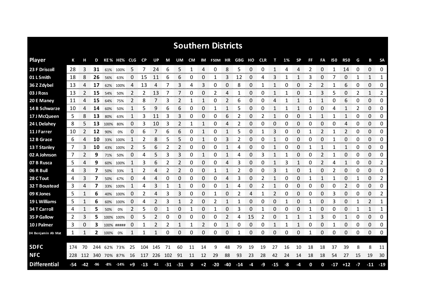|                      |     |     |         |      |             |      |           |         |     |            |    |      | <b>Southern Districts</b> |              |       |    |            |       |    |              |    |                |              |                |      |                    |                |
|----------------------|-----|-----|---------|------|-------------|------|-----------|---------|-----|------------|----|------|---------------------------|--------------|-------|----|------------|-------|----|--------------|----|----------------|--------------|----------------|------|--------------------|----------------|
| <b>Player</b>        | К   |     | D       |      | KE% HE% CLG |      | <b>CP</b> | UP      | M   | UM         | CM |      | IM F50M HR GBG            |              |       | но | <b>CLR</b> | т     | 1% | <b>SP</b>    | FF | FA             | 150          | <b>R50</b>     | G    | в                  | <b>SA</b>      |
| 23 F Driscoll        | 28  | 3   | 31      |      | 61% 100%    | 5    | 7         | 24      | 6   | 5          | 1  | 4    | 0                         | 8            | 5     | 0  | 0          | 1     | 4  | 4            | 2  | 0              | $\mathbf{1}$ | 14             | 0    | $\Omega$           | 0              |
| 01 L Smith           | 18  | 8   | 26      | 56%  | 63%         | 0    | 15        | 11      | 6   | 6          | 0  | 0    | 1                         | 3            | 12    | 0  | 4          | 3     | 1  | 1            | 3  | 0              | 7            | 0              | 1    | 1                  | 1              |
| 36 Z Zdybel          | 13  | 4   | 17      | 62%  | 100%        | 4    | 13        | 4       | 7   | 3          | 4  | 3    | 0                         | 0            | 8     | 0  | 1          | 1     | 0  | 0            | 2  | 2              | $\mathbf 1$  | 6              | 0    | 0                  | 0              |
| 03 J Ross            | 13  | 2   | 15      | 54%  | 50%         | 2    | 2         | 13      | 7   | 7          | 0  | 0    | 2                         | 4            | 1     | 0  | 0          | 1     | 1  | 0            | 1  | 3              | 5            | 0              | 2    | $\mathbf{1}$       | 2              |
| 20 E Maney           | 11  | 4   | 15      | 64%  | 75%         | 2    | 8         | 7       | 3   | 2          | 1  | 1    | 0                         | 2            | 6     | 0  | 0          | 4     | 1  | 1            | 1  | $\mathbf{1}$   | 0            | 6              | 0    | 0                  | 0              |
| 14 B Schwarze        | 10  | 4   | 14      | 60%  | 50%         | 1    | 5         | 9       | 6   | 6          | 0  | 0    | 1                         | 1            | 5     | 0  | 0          | 1     | 1  | 1            | 0  | 0              | 4            | 1              | 2    | 0                  | 0              |
| 17 J McQueen         | 5   | 8   | 13      | 80%  | 63%         | 1    | 3         | 11      | 3   | 3          | 0  | 0    | 0                         | 6            | 2     | 0  | 2          | 1     | 0  | 0            | 1  | 1              |              | 1              | 0    | $\Omega$           | 0              |
| 24 L Delahey         | 8   | 5   | 13      | 100% | 80%         | 0    | 3         | 10      | 3   | 2          | 1  | 1    | 0                         | 4            | 2     | 0  | 0          | 0     | 0  | 0            | 0  | 0              | 0            | 4              | 0    | 0                  | 0              |
| 11 J Farrer          | 10  | 2   | 12      | 90%  | 0%          | 0    | 6         | 7       | 6   | 6          | 0  | 1    | 0                         | $\mathbf{1}$ | 5     | 0  | 1          | 3     | 0  | 0            | 1  | $\overline{2}$ |              | $\overline{2}$ | 0    | $\Omega$           | 0              |
| 12 B Grace           | 6   | 4   | 10      | 33%  | 100%        | 1    | 2         | 8       | 5   | 5          | 0  | 1    | 0                         | 3            | 2     | 0  | 0          | 1     | 0  | 0            | 0  | 0              | 1            | 0              | 0    | 0                  | 0              |
| 13 T Stanley         | 7   | 3   | 10      |      | 43% 100%    | 2    | 5         | 6       | 2   | 2          | 0  | 0    | 0                         |              | 4     | 0  | 0          | 1     | 0  | 0            |    | 1              |              | 1              | 0    | 0                  | 0              |
| 02 A Johnson         | 7   | 2   | 9       | 71%  | 50%         | 0    | 4         | 5       | 3   | 3          | 0  | 1    | 0                         | 1            | 4     | 0  | 3          | 1     |    | 0            | 0  | 2              |              | 0              | 0    | 0                  | 0              |
| 07 B Rusca           | 5   | 4   | 9       | 60%  | 100%        |      | 3         | 6       | 2   | 2          | 0  | 0    | 0                         | 4            | 3     | 0  | 0          |       | 3  | $\mathbf{1}$ | 0  | 2              | 4            | 1              | 0    | 0                  | 2              |
| 06 R Bull            | 4   | 3   | 7       | 50%  | 33%         |      | 2         | 4       | 2   | 2          | 0  | 0    | 1                         |              | 2     | 0  | 0          | 3     |    | 0            | 1  | 0              | 2            | 0              | 0    | 0                  | 0              |
| 28 C Tout            | 4   | 3   |         | 50%  | 67%         | 0    | 4         | 4       | 0   | 0          | 0  | 0    | 0                         | 4            | 3     | 0  | 2          |       | O  | 0            |    | 1              |              | 0<br>an mara   |      | 0<br><b>MARKET</b> | 2              |
| <b>32 T Boustead</b> | 3   | 4   | 7       | 33%  | 100%        |      | 4         | 3       | 1   | 1          | 0  | 0    | 0                         |              | 4     | 0  | 2          | 1     | O  | 0            | O  | 0              | 0            | 2              | 0    | 0                  | 0<br>ononono.  |
| 09 K Jones           | 5   |     | 6       |      | 40% 100%    | 0    | 2         | 4       | 3   | 3          | 0  | 0    | 1                         | 0            | 2     | 4  |            | 2     | 0  | 0            | 0  | $\Omega$       | 3            | 0              | 0    | 0                  | $\overline{2}$ |
| 19 L Williams        | 5   |     | 6       | 60%  | 100%        | 0    | 4         |         | 3   | 1          | 2  | 0    | 2                         | 1            |       | 0  | 0          | 0     |    | 0            |    | 0              | 3            | 0              |      | 2                  | 1              |
| 34 T Carroll         | 4   |     | 5       | 50%  | 0%          | 2    | 5         | 0       |     | 0          | 1  | 0    | 1                         | 0            | 3     | 0  |            | 0     | 0  | 0            | 1  | 0              | 0            | 0              |      | 1                  | 1              |
| 35 P Gallow          | 2   | 3   | 5       |      | 100% 100%   | 0    | 5         | 2       | 0   | 0          | 0  | 0    | 0                         | 2            | 4     | 15 | 2          | 0     |    | 1            |    | 3              | 0            | 1              | 0    | 0                  | 0              |
| 10 J Palmer          | 3   | 0   | 3       |      | 100% #####  | 0    | 1         | 2       | 2   | 1          | 1  | 2    | 0                         | 1            | 0     | 0  | 0          | 1     | 1  | 1            | 0  | 0              |              | 0              | 0    | 0                  | 0              |
| 04 Benjamin Ah Mat   | 1   | 1   | 2       | 100% | 0%          | 1    | 1         |         | 0   | 0          | 0  | 0    | 0                         | 0            | 1     | 0  | 0          | 0     | 0  | 0            | 1  | 0              | 0            | 0              | 0    | 0                  | 0              |
| <b>SDFC</b>          | 174 | 70  | 244     |      | 62% 73%     | 25   | 104       | 145     | 71  | 60         | 11 | 14   | 9                         | 48           | 79    | 19 | 19         | 27    | 16 | 10           | 18 | 18             | 37           | 39             | 8    | 8                  | 11             |
| <b>NFC</b>           | 228 |     | 112 340 |      | 70% 87%     | 16   |           | 117 226 | 102 | 91         | 11 | 12   | 29                        | 88           | 93    | 23 | 28         | 42    | 24 | 14           | 18 | 18             | 54           | 27             | 15   | 19                 | 30             |
| <b>Differential</b>  | -54 | -42 | -96     | -8%  | $-14%$      | $+9$ | $-13$     | -81     |     | $-31 - 31$ | 0  | $+2$ | $-20$                     | $-40$        | $-14$ | -4 | -9         | $-15$ | -8 | $-4$         | 0  | 0              |              | $-17$ $+12$    | $-7$ | $-11$              | $-19$          |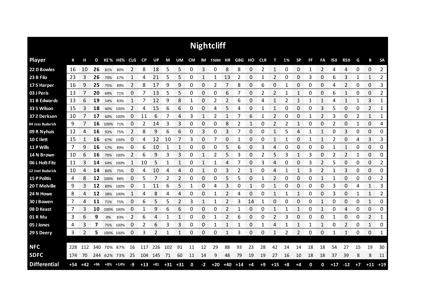|                     |     |       |       |           |             |                |       |                |             |    |    |      | <b>Nightcliff</b> |                |                   |      |      |                |      |              |           |                |            |                |      |                |                    |
|---------------------|-----|-------|-------|-----------|-------------|----------------|-------|----------------|-------------|----|----|------|-------------------|----------------|-------------------|------|------|----------------|------|--------------|-----------|----------------|------------|----------------|------|----------------|--------------------|
| <b>Player</b>       | К   | н     | D     |           | KE% HE% CLG |                | CP    | <b>UP</b>      | M           | UM | CM |      | IM F50M HR        |                | <b>GBG HO CLR</b> |      |      | т              | 1%   | <b>SP</b>    | <b>FF</b> | FA             | <b>I50</b> | <b>R50</b>     | G    | В              | <b>SA</b>          |
| 22 D Bowles         | 16  | 10    | 26    | 81%       | 80%         | 2              | 8     | 18             | 5           | 5  | 0  | 3    | 0                 | 8              | 8                 | 0    | 2    | 1              | 0    | 0            | 1         | $\overline{2}$ | 4          | 4              | 0    | 0              | $\overline{2}$<br> |
| 23 B Filo           | -23 | 3     | 26    | 70%       | 67%         | 1              | 4     | 21             | 5           | 5  | 0  | 1    |                   | 13             | 2                 | 0    |      | 2              | 0    | 0            | 3         | 0              | 6          | 3              | 1    | 1              | 2                  |
| 17 S Harper         | 16  | 9     | 25    | 75%       | 89%         | $\overline{2}$ | 8     | 17             | 9           | 9  | 0  | 0    | 2                 | 7              | 8                 | 0    | 6    | 0              | 1    | 0            | 0         | 0              | 4          | $\overline{2}$ | 0    | 0              | 3                  |
| 03 J Peris          | 13  | 7     | 20    | 69%       | 71%         | 0              | 7     | 13             | 5           | 5  | 0  | 0    | 0                 | 6              |                   | 0    | 2    | 2              |      | 1            | 0         | 0              | 6          | $\mathbf{1}$   | 0    | 0              | 2                  |
| 31 B Edwards        | 13  | 6     | 19    | 54%       | 83%         | 1              | 7     | 12             | 9           | 8  | 1  | 0    | 2                 | $\overline{2}$ | 6                 | 0    | 4    | 1              | 2    | 1            | 1         | 1              | 4          | $\mathbf{1}$   | 1    | 3              | 1                  |
| 33 S Wilson         | 15  | 3     | 18    | 40%       | 100%        | 2              | 4     | 15             | 6           | 6  | 0  | 0    | 4                 | 5              | 4                 | 0    | 1    | 1              | 0    | 0            | 0         | 3              | 5          | 0              | 0    | $\overline{2}$ | 1                  |
| 37 Z Derksen        | 10  |       | 17    | 60%       | 100%        | 0              | 11    | 6              | 7           | 4  | 3  | 1    | 2                 | 1              |                   | 6    |      | $\overline{2}$ | 0    | 0            | 1         | 2              | 3          | 0              | 2    | $\mathbf{1}$   | 1                  |
| 04 Jess Budarick    | 9   |       | 16    | 100%      | 71%         | 0              | 2     | 14             | 3           | 3  | 0  | 0    | 0                 | 8              | 2                 | 1    | 0    | 2              | 2    | 1            | 0         | 0              | 2          | 0              | 1    | 0              | 4                  |
| 09 R Nyhuis         | 12  | 4     | 16    | 92%       | 75%         | $\overline{2}$ | 8     | 9              | 6           | 6  | 0  | 3    | 0                 | 3              | 7                 | 0    | 0    | $\mathbf{1}$   | 5    | 4            | 1         | 1              | 0          | 3              | 0    | 0              | 0                  |
| 10 C I lett         | 15  | 1     | 16    | 67%       | 100%        | 0              | 4     | 12             | 10          | 7  | 3  | 0    | 7                 | 0              |                   | 0    | 0    | 1              |      | 0            |           | 1              | 2          | 0              | 4    | 3              | 3                  |
| 11 P Wills          | 7   | 9     | 16    | 57%       | 89%         | 0              | 6     | 10             | 1           | 1  | 0  | 0    | 0                 | 5              | 6                 | 0    | 3    | 4              | 0    | 0            | 0         | 0              |            | 1              | 0    | 0              | 0                  |
| 14 N Brown          | 10  | 6     | 16    | 70%       | 100%        | 2              | 6     | 9              | 3           | 3  | 0  | 1    | 2                 | 5              | 3                 | 0    | 2    | 5              | 3    | 1            | 3         | 0              | 2          | 2              | 1    | 0              | 0                  |
| 06 L Holt-Fitz      | 11  | 3     | 14    |           | 64% 100%    | 1              | 10    | 5              | 1           | 1  | 0  | 1    | 1                 | 4              |                   | 0    | 3    | 4              | 0    | 0            | 3         | 2              | 5          | 0              | 0    | 0              | 2                  |
| 12 Joel Budarick    | 10  | 4     | 14    | 80%       | 75%         | 0              | 4     | 10             | 4           | 4  | Ω  |      | 0                 | 3              |                   |      | ი    | 4              |      | 1            | 3         | 2              |            | 3              | 0    | 0              | 0                  |
| <b>15 P Politis</b> | 4   | 8     | 12    | 100%      | 88%         | 0              | 5     |                | 2           | 2  | 0  | 0    | 0                 | 5              | 5                 | 0    |      | 2              | O    | 0            | 0         |                |            | 0<br>anan men  | 0    | 0<br>ana ana a | 2<br>www.com       |
| 20 T Melville       | 9   | 3     | 12    | 89%       | 100%        | 0              | 1     | 11             | 6           | 5  |    | 0    | 4                 | 3              | 0                 | 1    | 0    |                | 0    | 0            | 0         | 0              | 3          | 0              | 4    | 1              | 3                  |
| 24 N Howe           | 8   | 4     | 12    | 38%       | 100%        | 1              | 4     | 8              | 4           | 4  | 0  | 0    | 1                 | 2              | 4                 | 0    | 0    | $\mathbf{1}$   | 1    | 1            | 0         | 0              | 3          | 0              | 1    | $\mathbf{1}$   | 2                  |
| 30 J Bowen          | 7   | 4     | 11    | 71%       | 75%         | 0              | 6     | 5              | 5           | 2  | 3  | 1    |                   | 2              | 3                 | 14   |      | 0              | O    | 0            | 0         | 1              | 0          | 0              | 0    | 1              | 0                  |
| 08 D Keast          | 7   | 3     | 10    |           | 100% 100%   | 0              | 1     | 9              | 6           | 6  | 0  | 0    | 0                 | 2              |                   | 0    | 0    | 1              |      | $\mathbf{1}$ | 0         | 1              | 0          | 4              | 0    | 0              | 0                  |
| 01 R Mu             | 3   | 6     | 9     | 0%        | 83%         | 2              | 6     | 4              | 1           | 1  | 0  | 0    | 1                 | 2              | 6                 | 0    | 0    | 2              | 3    | 0            | 0         | 0              | 1          | 0              | 0    | 2              | 1                  |
| 05 J Jones          | 4   | 3     | 7     | 75%       | 100%        | 0              | 2     | 6              | 3           | 3  | 0  | 0    | 1                 | 1              | 1                 | 0    | 1    | 4              | 1    | 1            | 1         | 1              | 0          | $\overline{2}$ | 0    | 1              | 0                  |
| 29 S Deery          | 3   | 2     | 5     | 100% 100% |             | 0              | 3     | $\mathfrak{p}$ | 1           | 1  | 0  | 0    | 0                 | 1              | 3                 | 0    | 0    | 1              | 2    | 2            | 0         | 0              | 1          | 1              | 0    | 0              | 1                  |
|                     |     |       |       |           |             |                |       |                |             |    |    |      |                   |                |                   |      |      |                |      |              |           |                |            |                |      |                |                    |
| <b>NFC</b>          | 228 | 112   | 340   | 70%       | 87%         | 16             | 117   | 226            | 102         | 91 | 11 | 12   | 29                | 88             | 93                | 23   | 28   | 42             | 24   | 14           | 18        | 18             | 54         | 27             | 15   | 19             | 30                 |
| <b>SDFC</b>         | 174 | 70    | 244   |           | 62% 73%     | 25             | 104   | 145            | 71          | 60 | 11 | 14   | 9                 | 48             | 79                | 19   | 19   | 27             | 16   | 10           | 18        | 18             | 37         | 39             | 8    | 8              | 11                 |
| <b>Differential</b> | +54 | $+42$ | $+96$ | +8%       | $+14%$      | -9             | $+13$ | $+81$          | $+31$ $+31$ |    | 0  | $-2$ | $+20$             | +40            | $+14$             | $+4$ | $+9$ | $+15$          | $+8$ | $+4$         | 0         | 0              | $+17$      | $-12$          | $+7$ | $+11$          | $+19$              |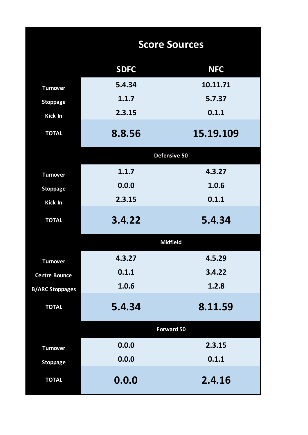|                        |             | <b>Score Sources</b> |
|------------------------|-------------|----------------------|
|                        | <b>SDFC</b> | <b>NFC</b>           |
| <b>Turnover</b>        | 5.4.34      | 10.11.71             |
| <b>Stoppage</b>        | 1.1.7       | 5.7.37               |
| <b>Kick In</b>         | 2.3.15      | 0.1.1                |
| <b>TOTAL</b>           | 8.8.56      | 15.19.109            |
|                        |             | <b>Defensive 50</b>  |
| <b>Turnover</b>        | 1.1.7       | 4.3.27               |
| <b>Stoppage</b>        | 0.0.0       | 1.0.6                |
| <b>Kick In</b>         | 2.3.15      | 0.1.1                |
| <b>TOTAL</b>           | 3.4.22      | 5.4.34               |
|                        |             | <b>Midfield</b>      |
| <b>Turnover</b>        | 4.3.27      | 4.5.29               |
| <b>Centre Bounce</b>   | 0.1.1       | 3.4.22               |
| <b>B/ARC Stoppages</b> | 1.0.6       | 1.2.8                |
| <b>TOTAL</b>           | 5.4.34      | 8.11.59              |
|                        |             | Forward 50           |
| <b>Turnover</b>        | 0.0.0       | 2.3.15               |
| <b>Stoppage</b>        | 0.0.0       | 0.1.1                |
| <b>TOTAL</b>           | 0.0.0       | 2.4.16               |